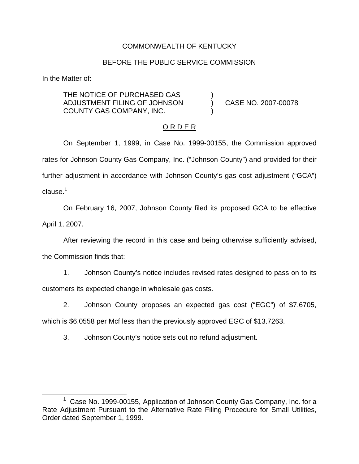## COMMONWEALTH OF KENTUCKY

## BEFORE THE PUBLIC SERVICE COMMISSION

In the Matter of:

THE NOTICE OF PURCHASED GAS ADJUSTMENT FILING OF JOHNSON ) CASE NO. 2007-00078 COUNTY GAS COMPANY, INC. )

## O R D E R

On September 1, 1999, in Case No. 1999-00155, the Commission approved rates for Johnson County Gas Company, Inc. ("Johnson County") and provided for their further adjustment in accordance with Johnson County's gas cost adjustment ("GCA")  $clause<sup>1</sup>$ 

On February 16, 2007, Johnson County filed its proposed GCA to be effective April 1, 2007.

After reviewing the record in this case and being otherwise sufficiently advised,

the Commission finds that:

1. Johnson County's notice includes revised rates designed to pass on to its customers its expected change in wholesale gas costs.

2. Johnson County proposes an expected gas cost ("EGC") of \$7.6705,

which is \$6.0558 per Mcf less than the previously approved EGC of \$13.7263.

3. Johnson County's notice sets out no refund adjustment.

 $1$  Case No. 1999-00155, Application of Johnson County Gas Company, Inc. for a Rate Adjustment Pursuant to the Alternative Rate Filing Procedure for Small Utilities, Order dated September 1, 1999.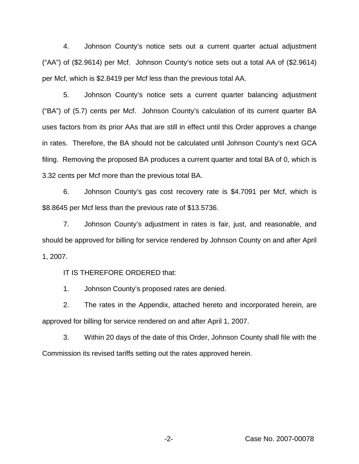4. Johnson County's notice sets out a current quarter actual adjustment ("AA") of (\$2.9614) per Mcf. Johnson County's notice sets out a total AA of (\$2.9614) per Mcf, which is \$2.8419 per Mcf less than the previous total AA.

5. Johnson County's notice sets a current quarter balancing adjustment ("BA") of (5.7) cents per Mcf. Johnson County's calculation of its current quarter BA uses factors from its prior AAs that are still in effect until this Order approves a change in rates. Therefore, the BA should not be calculated until Johnson County's next GCA filing. Removing the proposed BA produces a current quarter and total BA of 0, which is 3.32 cents per Mcf more than the previous total BA.

6. Johnson County's gas cost recovery rate is \$4.7091 per Mcf, which is \$8.8645 per Mcf less than the previous rate of \$13.5736.

7. Johnson County's adjustment in rates is fair, just, and reasonable, and should be approved for billing for service rendered by Johnson County on and after April 1, 2007.

IT IS THEREFORE ORDERED that:

1. Johnson County's proposed rates are denied.

2. The rates in the Appendix, attached hereto and incorporated herein, are approved for billing for service rendered on and after April 1, 2007.

3. Within 20 days of the date of this Order, Johnson County shall file with the Commission its revised tariffs setting out the rates approved herein.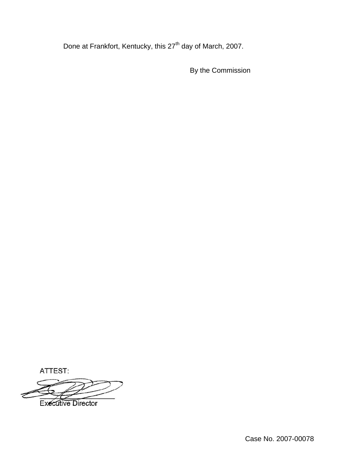Done at Frankfort, Kentucky, this 27<sup>th</sup> day of March, 2007.

By the Commission

ATTEST:

**Executive Director**